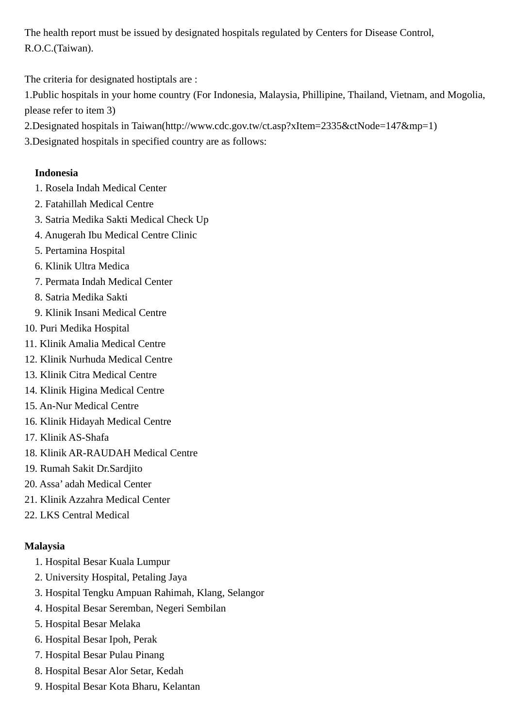The health report must be issued by designated hospitals regulated by Centers for Disease Control, R.O.C.(Taiwan).

The criteria for designated hostiptals are :

1.Public hospitals in your home country (For Indonesia, Malaysia, Phillipine, Thailand, Vietnam, and Mogolia, please refer to item 3)

- 2.Designated hospitals in Taiwan(http://www.cdc.gov.tw/ct.asp?xItem=2335&ctNode=147&mp=1)
- 3.Designated hospitals in specified country are as follows:

## **Indonesia**

- 1. Rosela Indah Medical Center
- 2. Fatahillah Medical Centre
- 3. Satria Medika Sakti Medical Check Up
- 4. Anugerah Ibu Medical Centre Clinic
- 5. Pertamina Hospital
- 6. Klinik Ultra Medica
- 7. Permata Indah Medical Center
- 8. Satria Medika Sakti
- 9. Klinik Insani Medical Centre
- 10. Puri Medika Hospital
- 11. Klinik Amalia Medical Centre
- 12. Klinik Nurhuda Medical Centre
- 13. Klinik Citra Medical Centre
- 14. Klinik Higina Medical Centre
- 15. An-Nur Medical Centre
- 16. Klinik Hidayah Medical Centre
- 17. Klinik AS-Shafa
- 18. Klinik AR-RAUDAH Medical Centre
- 19. Rumah Sakit Dr.Sardjito
- 20. Assa' adah Medical Center
- 21. Klinik Azzahra Medical Center
- 22. LKS Central Medical

# **Malaysia**

- 1. Hospital Besar Kuala Lumpur
- 2. University Hospital, Petaling Jaya
- 3. Hospital Tengku Ampuan Rahimah, Klang, Selangor
- 4. Hospital Besar Seremban, Negeri Sembilan
- 5. Hospital Besar Melaka
- 6. Hospital Besar Ipoh, Perak
- 7. Hospital Besar Pulau Pinang
- 8. Hospital Besar Alor Setar, Kedah
- 9. Hospital Besar Kota Bharu, Kelantan